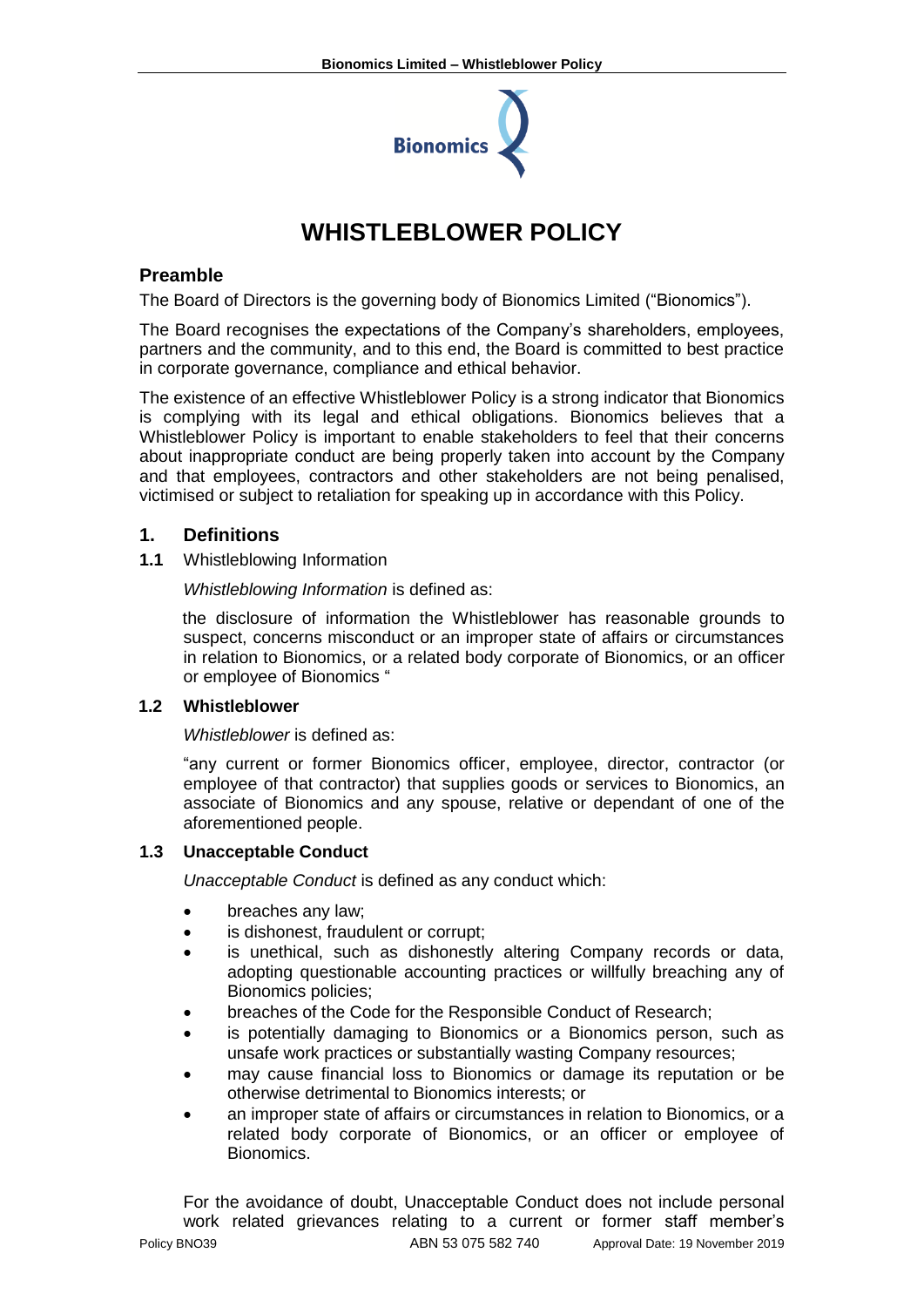

# **WHISTLEBLOWER POLICY**

## **Preamble**

The Board of Directors is the governing body of Bionomics Limited ("Bionomics").

The Board recognises the expectations of the Company's shareholders, employees, partners and the community, and to this end, the Board is committed to best practice in corporate governance, compliance and ethical behavior.

The existence of an effective Whistleblower Policy is a strong indicator that Bionomics is complying with its legal and ethical obligations. Bionomics believes that a Whistleblower Policy is important to enable stakeholders to feel that their concerns about inappropriate conduct are being properly taken into account by the Company and that employees, contractors and other stakeholders are not being penalised, victimised or subject to retaliation for speaking up in accordance with this Policy.

## **1. Definitions**

**1.1** Whistleblowing Information

*Whistleblowing Information* is defined as:

the disclosure of information the Whistleblower has reasonable grounds to suspect, concerns misconduct or an improper state of affairs or circumstances in relation to Bionomics, or a related body corporate of Bionomics, or an officer or employee of Bionomics "

## **1.2 Whistleblower**

*Whistleblower* is defined as:

"any current or former Bionomics officer, employee, director, contractor (or employee of that contractor) that supplies goods or services to Bionomics, an associate of Bionomics and any spouse, relative or dependant of one of the aforementioned people.

## **1.3 Unacceptable Conduct**

*Unacceptable Conduct* is defined as any conduct which:

- breaches any law;
- is dishonest, fraudulent or corrupt;
- is unethical, such as dishonestly altering Company records or data, adopting questionable accounting practices or willfully breaching any of Bionomics policies;
- breaches of the Code for the Responsible Conduct of Research;
- is potentially damaging to Bionomics or a Bionomics person, such as unsafe work practices or substantially wasting Company resources;
- may cause financial loss to Bionomics or damage its reputation or be otherwise detrimental to Bionomics interests; or
- an improper state of affairs or circumstances in relation to Bionomics, or a related body corporate of Bionomics, or an officer or employee of Bionomics.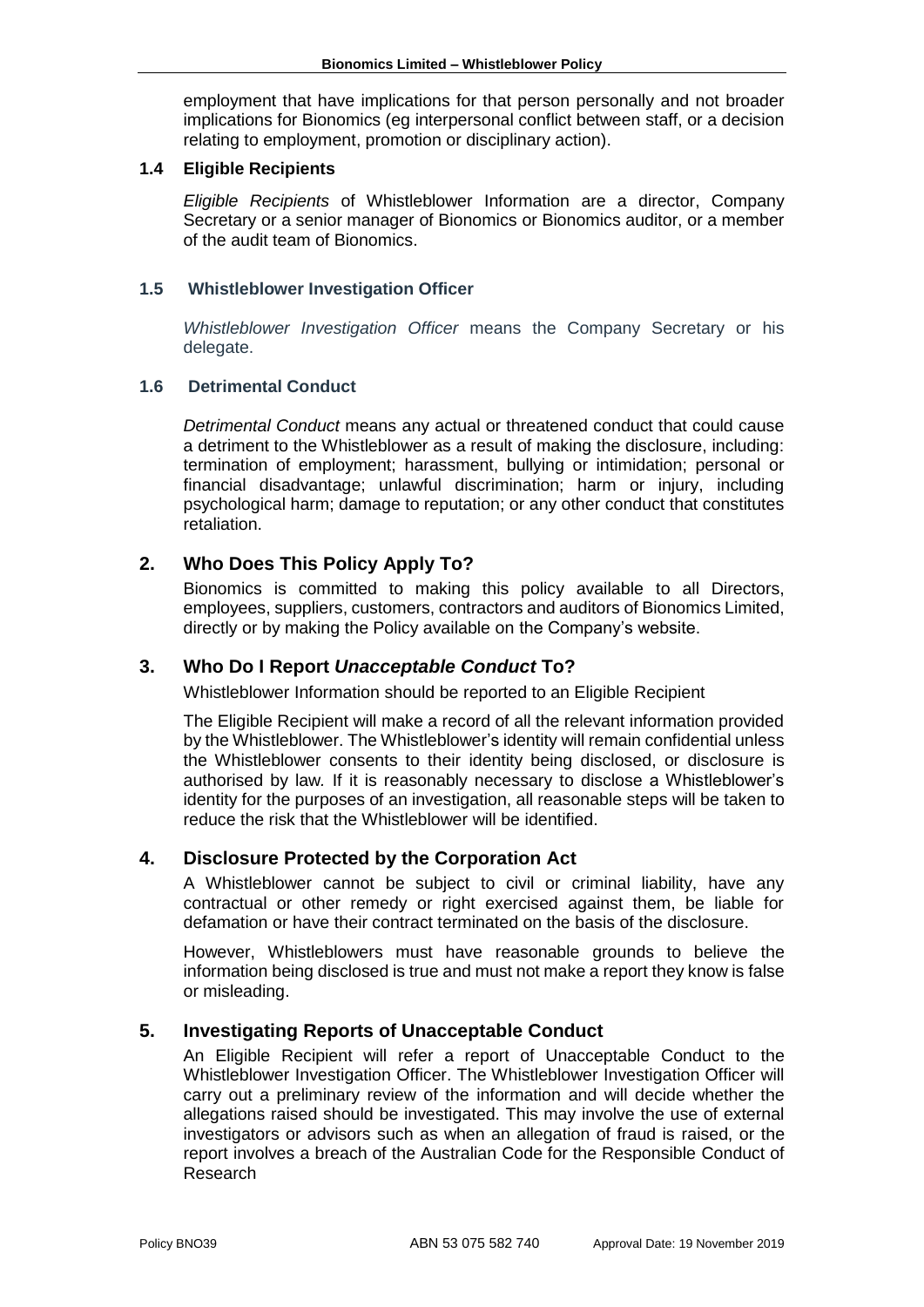employment that have implications for that person personally and not broader implications for Bionomics (eg interpersonal conflict between staff, or a decision relating to employment, promotion or disciplinary action).

#### **1.4 Eligible Recipients**

*Eligible Recipients* of Whistleblower Information are a director, Company Secretary or a senior manager of Bionomics or Bionomics auditor, or a member of the audit team of Bionomics.

#### **1.5 Whistleblower Investigation Officer**

*Whistleblower Investigation Officer* means the Company Secretary or his delegate.

#### **1.6 Detrimental Conduct**

*Detrimental Conduct* means any actual or threatened conduct that could cause a detriment to the Whistleblower as a result of making the disclosure, including: termination of employment; harassment, bullying or intimidation; personal or financial disadvantage; unlawful discrimination; harm or injury, including psychological harm; damage to reputation; or any other conduct that constitutes retaliation.

## **2. Who Does This Policy Apply To?**

Bionomics is committed to making this policy available to all Directors, employees, suppliers, customers, contractors and auditors of Bionomics Limited, directly or by making the Policy available on the Company's website.

## **3. Who Do I Report** *Unacceptable Conduct* **To?**

Whistleblower Information should be reported to an Eligible Recipient

The Eligible Recipient will make a record of all the relevant information provided by the Whistleblower. The Whistleblower's identity will remain confidential unless the Whistleblower consents to their identity being disclosed, or disclosure is authorised by law*.* If it is reasonably necessary to disclose a Whistleblower's identity for the purposes of an investigation, all reasonable steps will be taken to reduce the risk that the Whistleblower will be identified.

## **4. Disclosure Protected by the Corporation Act**

A Whistleblower cannot be subject to civil or criminal liability, have any contractual or other remedy or right exercised against them, be liable for defamation or have their contract terminated on the basis of the disclosure.

However, Whistleblowers must have reasonable grounds to believe the information being disclosed is true and must not make a report they know is false or misleading.

## **5. Investigating Reports of Unacceptable Conduct**

An Eligible Recipient will refer a report of Unacceptable Conduct to the Whistleblower Investigation Officer. The Whistleblower Investigation Officer will carry out a preliminary review of the information and will decide whether the allegations raised should be investigated. This may involve the use of external investigators or advisors such as when an allegation of fraud is raised, or the report involves a breach of the Australian Code for the Responsible Conduct of Research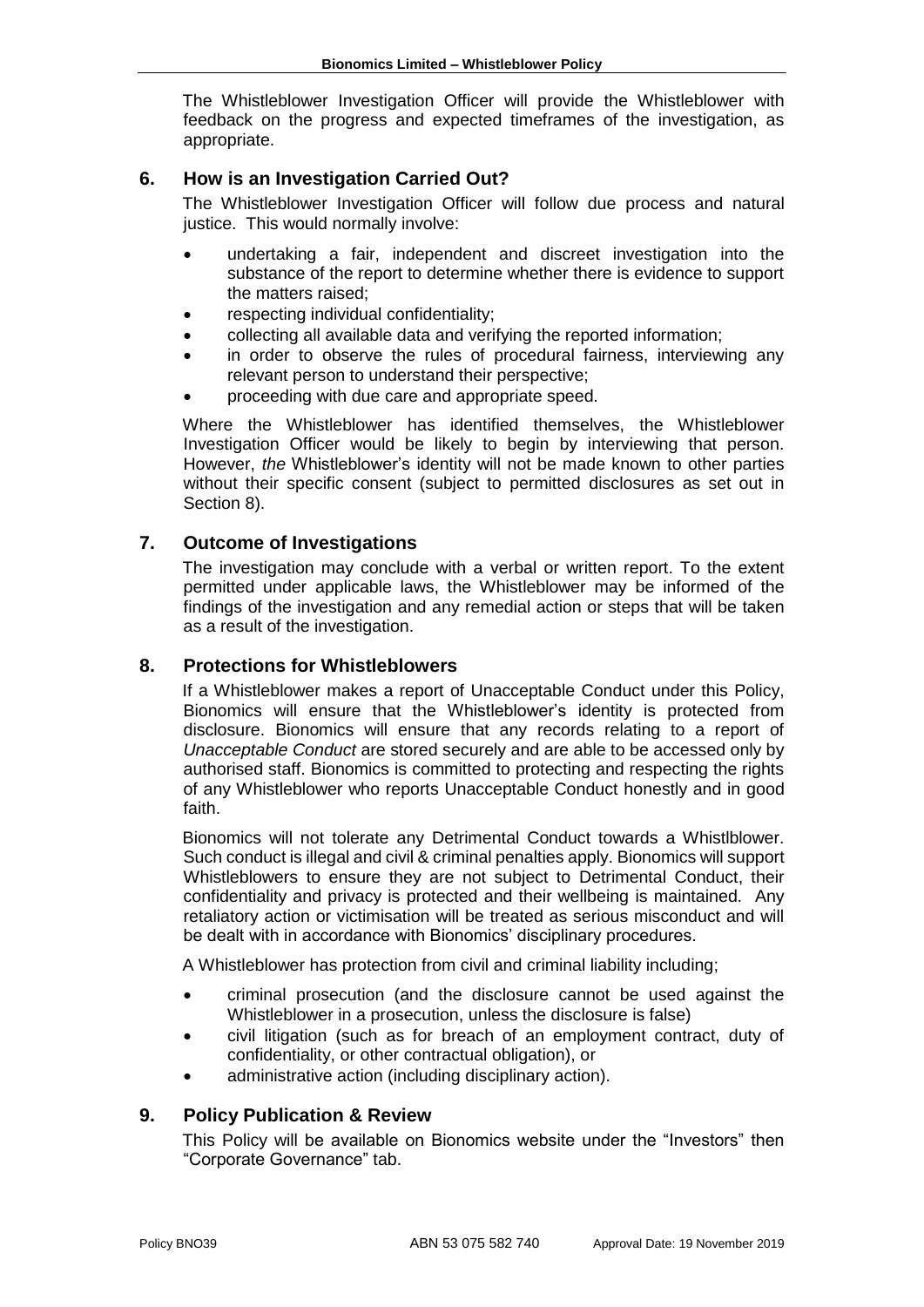The Whistleblower Investigation Officer will provide the Whistleblower with feedback on the progress and expected timeframes of the investigation, as appropriate.

## **6. How is an Investigation Carried Out?**

The Whistleblower Investigation Officer will follow due process and natural justice. This would normally involve:

- undertaking a fair, independent and discreet investigation into the substance of the report to determine whether there is evidence to support the matters raised;
- respecting individual confidentiality;
- collecting all available data and verifying the reported information;
- in order to observe the rules of procedural fairness, interviewing any relevant person to understand their perspective;
- proceeding with due care and appropriate speed.

Where the Whistleblower has identified themselves, the Whistleblower Investigation Officer would be likely to begin by interviewing that person. However, *the* Whistleblower's identity will not be made known to other parties without their specific consent (subject to permitted disclosures as set out in Section 8).

## **7. Outcome of Investigations**

The investigation may conclude with a verbal or written report. To the extent permitted under applicable laws, the Whistleblower may be informed of the findings of the investigation and any remedial action or steps that will be taken as a result of the investigation.

## **8. Protections for Whistleblowers**

If a Whistleblower makes a report of Unacceptable Conduct under this Policy, Bionomics will ensure that the Whistleblower's identity is protected from disclosure. Bionomics will ensure that any records relating to a report of *Unacceptable Conduct* are stored securely and are able to be accessed only by authorised staff. Bionomics is committed to protecting and respecting the rights of any Whistleblower who reports Unacceptable Conduct honestly and in good faith.

Bionomics will not tolerate any Detrimental Conduct towards a Whistlblower. Such conduct is illegal and civil & criminal penalties apply. Bionomics will support Whistleblowers to ensure they are not subject to Detrimental Conduct, their confidentiality and privacy is protected and their wellbeing is maintained. Any retaliatory action or victimisation will be treated as serious misconduct and will be dealt with in accordance with Bionomics' disciplinary procedures.

A Whistleblower has protection from civil and criminal liability including;

- criminal prosecution (and the disclosure cannot be used against the Whistleblower in a prosecution, unless the disclosure is false)
- civil litigation (such as for breach of an employment contract, duty of confidentiality, or other contractual obligation), or
- administrative action (including disciplinary action).

## **9. Policy Publication & Review**

This Policy will be available on Bionomics website under the "Investors" then "Corporate Governance" tab.